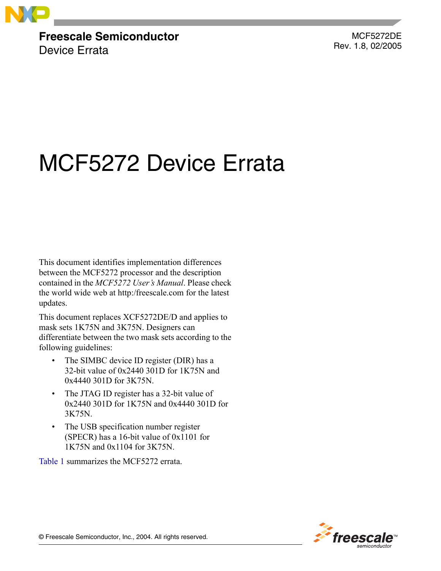

**Freescale Semiconductor** Device Errata

MCF5272DE Rev. 1.8, 02/2005

# MCF5272 Device Errata

This document identifies implementation differences between the MCF5272 processor and the description contained in the *MCF5272 User's Manual*. Please check the world wide web at http:/freescale.com for the latest updates.

This document replaces XCF5272DE/D and applies to mask sets 1K75N and 3K75N. Designers can differentiate between the two mask sets according to the following guidelines:

- The SIMBC device ID register (DIR) has a 32-bit value of 0x2440 301D for 1K75N and 0x4440 301D for 3K75N.
- The JTAG ID register has a 32-bit value of 0x2440 301D for 1K75N and 0x4440 301D for 3K75N.
- The USB specification number register (SPECR) has a 16-bit value of 0x1101 for 1K75N and 0x1104 for 3K75N.

Table 1 summarizes the MCF5272 errata.



© Freescale Semiconductor, Inc., 2004. All rights reserved.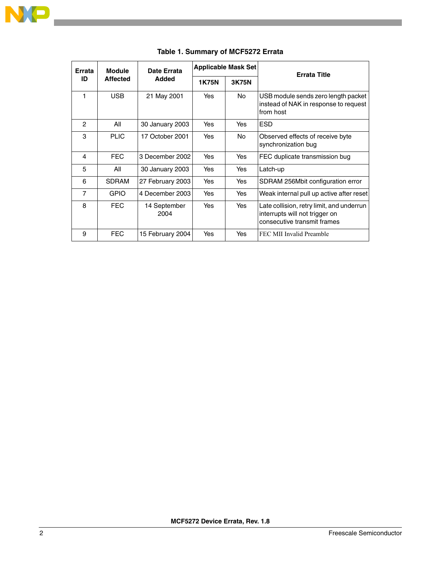

| Errata<br>ID   | <b>Module</b><br><b>Affected</b> | Date Errata<br><b>Added</b> | <b>Applicable Mask Set</b> |              | Errata Title                                                                                               |
|----------------|----------------------------------|-----------------------------|----------------------------|--------------|------------------------------------------------------------------------------------------------------------|
|                |                                  |                             | <b>1K75N</b>               | <b>3K75N</b> |                                                                                                            |
| 1              | <b>USB</b>                       | 21 May 2001                 | Yes                        | No.          | USB module sends zero length packet<br>instead of NAK in response to request<br>from host                  |
| $\mathcal{P}$  | All                              | 30 January 2003             | Yes                        | Yes          | <b>ESD</b>                                                                                                 |
| 3              | <b>PLIC</b>                      | 17 October 2001             | Yes                        | No.          | Observed effects of receive byte<br>synchronization bug                                                    |
| 4              | FEC                              | 3 December 2002             | Yes                        | Yes          | FEC duplicate transmission bug                                                                             |
| 5              | All                              | 30 January 2003             | Yes                        | Yes          | Latch-up                                                                                                   |
| 6              | <b>SDRAM</b>                     | 27 February 2003            | Yes                        | Yes          | SDRAM 256Mbit configuration error                                                                          |
| $\overline{7}$ | <b>GPIO</b>                      | 4 December 2003             | Yes                        | Yes          | Weak internal pull up active after reset                                                                   |
| 8              | <b>FEC</b>                       | 14 September<br>2004        | <b>Yes</b>                 | Yes          | Late collision, retry limit, and underrun<br>interrupts will not trigger on<br>consecutive transmit frames |
| 9              | <b>FEC</b>                       | 15 February 2004            | Yes                        | Yes          | FEC MII Invalid Preamble                                                                                   |

#### **Table 1. Summary of MCF5272 Errata**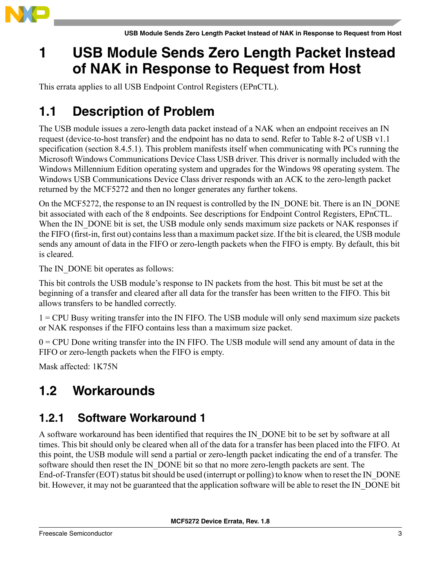

## <span id="page-2-0"></span>**1 USB Module Sends Zero Length Packet Instead of NAK in Response to Request from Host**

This errata applies to all USB Endpoint Control Registers (EPnCTL).

## **1.1 Description of Problem**

The USB module issues a zero-length data packet instead of a NAK when an endpoint receives an IN request (device-to-host transfer) and the endpoint has no data to send. Refer to Table 8-2 of USB v1.1 specification (section 8.4.5.1). This problem manifests itself when communicating with PCs running the Microsoft Windows Communications Device Class USB driver. This driver is normally included with the Windows Millennium Edition operating system and upgrades for the Windows 98 operating system. The Windows USB Communications Device Class driver responds with an ACK to the zero-length packet returned by the MCF5272 and then no longer generates any further tokens.

On the MCF5272, the response to an IN request is controlled by the IN\_DONE bit. There is an IN\_DONE bit associated with each of the 8 endpoints. See descriptions for Endpoint Control Registers, EPnCTL. When the IN DONE bit is set, the USB module only sends maximum size packets or NAK responses if the FIFO (first-in, first out) contains less than a maximum packet size. If the bit is cleared, the USB module sends any amount of data in the FIFO or zero-length packets when the FIFO is empty. By default, this bit is cleared.

The IN DONE bit operates as follows:

This bit controls the USB module's response to IN packets from the host. This bit must be set at the beginning of a transfer and cleared after all data for the transfer has been written to the FIFO. This bit allows transfers to be handled correctly.

1 = CPU Busy writing transfer into the IN FIFO. The USB module will only send maximum size packets or NAK responses if the FIFO contains less than a maximum size packet.

 $0 = CPU$  Done writing transfer into the IN FIFO. The USB module will send any amount of data in the FIFO or zero-length packets when the FIFO is empty.

Mask affected: 1K75N

## **1.2 Workarounds**

#### **1.2.1 Software Workaround 1**

A software workaround has been identified that requires the IN\_DONE bit to be set by software at all times. This bit should only be cleared when all of the data for a transfer has been placed into the FIFO. At this point, the USB module will send a partial or zero-length packet indicating the end of a transfer. The software should then reset the IN DONE bit so that no more zero-length packets are sent. The End-of-Transfer (EOT) status bit should be used (interrupt or polling) to know when to reset the IN\_DONE bit. However, it may not be guaranteed that the application software will be able to reset the IN\_DONE bit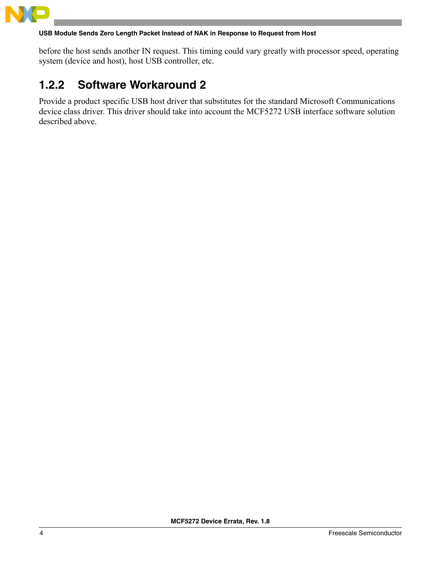

#### **USB Module Sends Zero Length Packet Instead of NAK in Response to Request from Host**

before the host sends another IN request. This timing could vary greatly with processor speed, operating system (device and host), host USB controller, etc.

#### **1.2.2 Software Workaround 2**

Provide a product specific USB host driver that substitutes for the standard Microsoft Communications device class driver. This driver should take into account the MCF5272 USB interface software solution described above.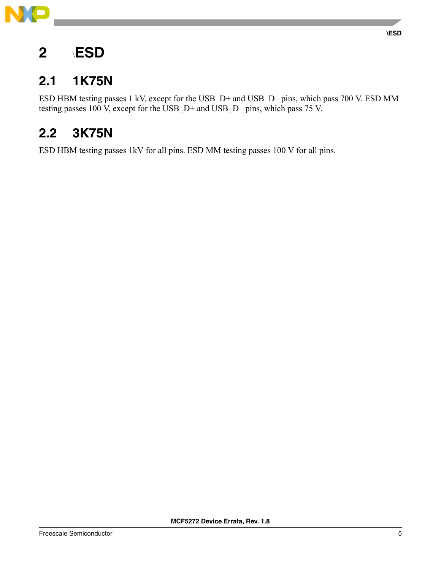

## **2** \**ESD**

### **2.1 1K75N**

ESD HBM testing passes 1 kV, except for the USB\_D+ and USB\_D– pins, which pass 700 V. ESD MM testing passes 100 V, except for the USB\_D+ and USB\_D– pins, which pass 75 V.

### **2.2 3K75N**

ESD HBM testing passes 1kV for all pins. ESD MM testing passes 100 V for all pins.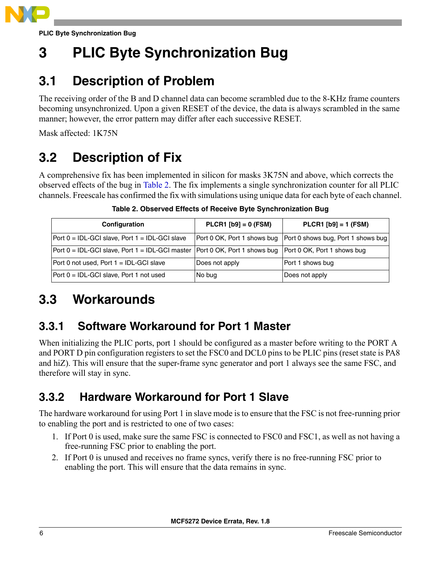

**PLIC Byte Synchronization Bug**

## **3 PLIC Byte Synchronization Bug**

### **3.1 Description of Problem**

The receiving order of the B and D channel data can become scrambled due to the 8-KHz frame counters becoming unsynchronized. Upon a given RESET of the device, the data is always scrambled in the same manner; however, the error pattern may differ after each successive RESET.

Mask affected: 1K75N

## **3.2 Description of Fix**

A comprehensive fix has been implemented in silicon for masks 3K75N and above, which corrects the observed effects of the bug in Table 2. The fix implements a single synchronization counter for all PLIC channels. Freescale has confirmed the fix with simulations using unique data for each byte of each channel.

| Configuration                                                                                               | $PLCR1 [b9] = 0 (FSM)$ | $PLCR1 [b9] = 1 (FSM)$                                           |
|-------------------------------------------------------------------------------------------------------------|------------------------|------------------------------------------------------------------|
| Port 0 = IDL-GCI slave, Port 1 = IDL-GCI slave                                                              |                        | Port 0 OK, Port 1 shows bug   Port 0 shows bug, Port 1 shows bug |
| Port 0 = IDL-GCI slave, Port 1 = IDL-GCI master   Port 0 OK, Port 1 shows bug   Port 0 OK, Port 1 shows bug |                        |                                                                  |
| Port 0 not used, Port 1 = IDL-GCI slave                                                                     | Does not apply         | Port 1 shows bug                                                 |
| Port 0 = IDL-GCI slave, Port 1 not used                                                                     | No bug                 | Does not apply                                                   |

**Table 2. Observed Effects of Receive Byte Synchronization Bug**

### **3.3 Workarounds**

#### **3.3.1 Software Workaround for Port 1 Master**

When initializing the PLIC ports, port 1 should be configured as a master before writing to the PORT A and PORT D pin configuration registers to set the FSC0 and DCL0 pins to be PLIC pins (reset state is PA8 and hiZ). This will ensure that the super-frame sync generator and port 1 always see the same FSC, and therefore will stay in sync.

#### **3.3.2 Hardware Workaround for Port 1 Slave**

The hardware workaround for using Port 1 in slave mode is to ensure that the FSC is not free-running prior to enabling the port and is restricted to one of two cases:

- 1. If Port 0 is used, make sure the same FSC is connected to FSC0 and FSC1, as well as not having a free-running FSC prior to enabling the port.
- 2. If Port 0 is unused and receives no frame syncs, verify there is no free-running FSC prior to enabling the port. This will ensure that the data remains in sync.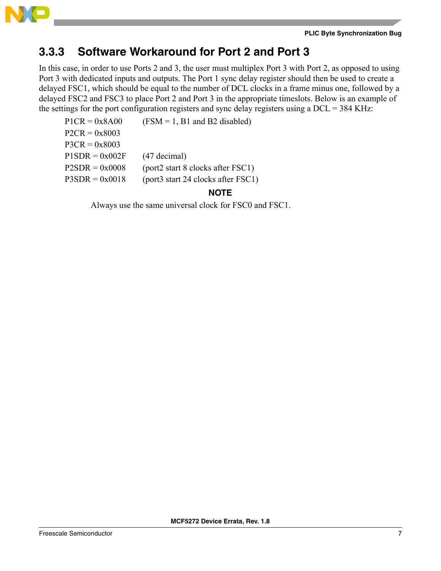

#### **3.3.3 Software Workaround for Port 2 and Port 3**

In this case, in order to use Ports 2 and 3, the user must multiplex Port 3 with Port 2, as opposed to using Port 3 with dedicated inputs and outputs. The Port 1 sync delay register should then be used to create a delayed FSC1, which should be equal to the number of DCL clocks in a frame minus one, followed by a delayed FSC2 and FSC3 to place Port 2 and Port 3 in the appropriate timeslots. Below is an example of the settings for the port configuration registers and sync delay registers using a  $DCL = 384 \text{ KHz}$ :

| $P1CR = 0x8A00$  | $(FSM = 1, B1 \text{ and } B2 \text{ disabled})$ |
|------------------|--------------------------------------------------|
| $P2CR = 0x8003$  |                                                  |
| $P3CR = 0x8003$  |                                                  |
| $P1SDR = 0x002F$ | (47 decimal)                                     |
| $P2SDR = 0x0008$ | (port2 start 8 clocks after FSC1)                |
| $P3SDR = 0x0018$ | (port3 start 24 clocks after FSC1)               |
|                  |                                                  |

#### **NOTE**

Always use the same universal clock for FSC0 and FSC1.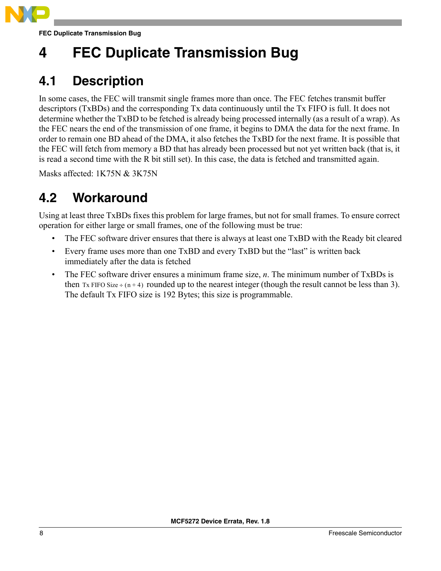

**FEC Duplicate Transmission Bug**

## **4 FEC Duplicate Transmission Bug**

## **4.1 Description**

In some cases, the FEC will transmit single frames more than once. The FEC fetches transmit buffer descriptors (TxBDs) and the corresponding Tx data continuously until the Tx FIFO is full. It does not determine whether the TxBD to be fetched is already being processed internally (as a result of a wrap). As the FEC nears the end of the transmission of one frame, it begins to DMA the data for the next frame. In order to remain one BD ahead of the DMA, it also fetches the TxBD for the next frame. It is possible that the FEC will fetch from memory a BD that has already been processed but not yet written back (that is, it is read a second time with the R bit still set). In this case, the data is fetched and transmitted again.

Masks affected: 1K75N & 3K75N

#### **4.2 Workaround**

Using at least three TxBDs fixes this problem for large frames, but not for small frames. To ensure correct operation for either large or small frames, one of the following must be true:

- The FEC software driver ensures that there is always at least one TxBD with the Ready bit cleared
- Every frame uses more than one TxBD and every TxBD but the "last" is written back immediately after the data is fetched
- The FEC software driver ensures a minimum frame size, *n*. The minimum number of TxBDs is then  $Tx$  FIFO Size  $\div$  (n + 4) rounded up to the nearest integer (though the result cannot be less than 3). The default Tx FIFO size is 192 Bytes; this size is programmable.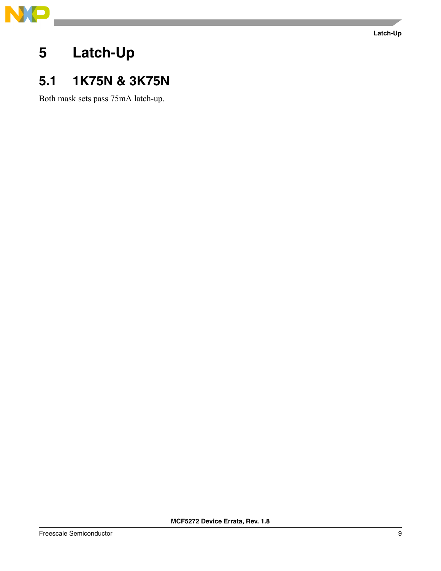

## **5 Latch-Up**

### **5.1 1K75N & 3K75N**

Both mask sets pass 75mA latch-up.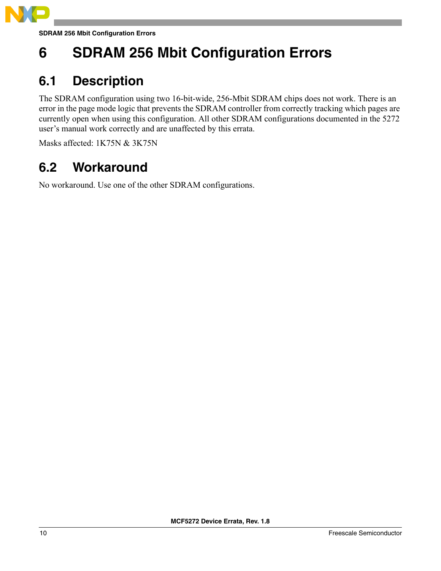

**SDRAM 256 Mbit Configuration Errors**

## **6 SDRAM 256 Mbit Configuration Errors**

## **6.1 Description**

The SDRAM configuration using two 16-bit-wide, 256-Mbit SDRAM chips does not work. There is an error in the page mode logic that prevents the SDRAM controller from correctly tracking which pages are currently open when using this configuration. All other SDRAM configurations documented in the 5272 user's manual work correctly and are unaffected by this errata.

Masks affected: 1K75N & 3K75N

#### **6.2 Workaround**

No workaround. Use one of the other SDRAM configurations.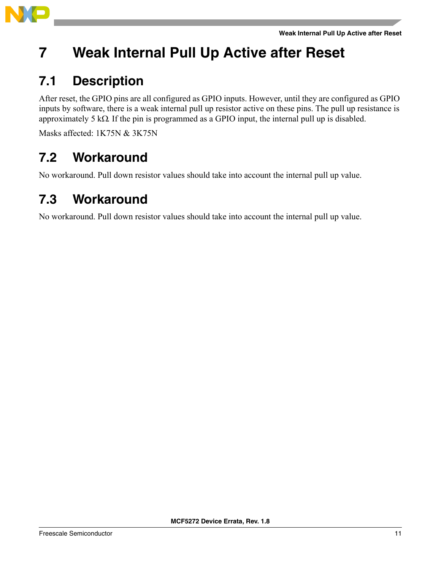

## **7 Weak Internal Pull Up Active after Reset**

## **7.1 Description**

After reset, the GPIO pins are all configured as GPIO inputs. However, until they are configured as GPIO inputs by software, there is a weak internal pull up resistor active on these pins. The pull up resistance is approximately 5 kΩ. If the pin is programmed as a GPIO input, the internal pull up is disabled.

Masks affected: 1K75N & 3K75N

### **7.2 Workaround**

No workaround. Pull down resistor values should take into account the internal pull up value.

#### **7.3 Workaround**

No workaround. Pull down resistor values should take into account the internal pull up value.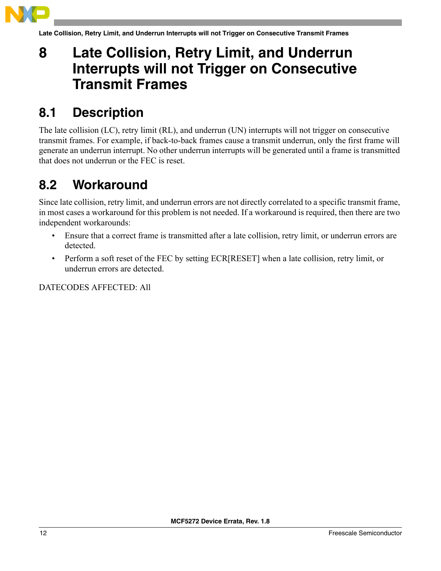

**Late Collision, Retry Limit, and Underrun Interrupts will not Trigger on Consecutive Transmit Frames**

## **8 Late Collision, Retry Limit, and Underrun Interrupts will not Trigger on Consecutive Transmit Frames**

### **8.1 Description**

The late collision (LC), retry limit (RL), and underrun (UN) interrupts will not trigger on consecutive transmit frames. For example, if back-to-back frames cause a transmit underrun, only the first frame will generate an underrun interrupt. No other underrun interrupts will be generated until a frame is transmitted that does not underrun or the FEC is reset.

## **8.2 Workaround**

Since late collision, retry limit, and underrun errors are not directly correlated to a specific transmit frame, in most cases a workaround for this problem is not needed. If a workaround is required, then there are two independent workarounds:

- Ensure that a correct frame is transmitted after a late collision, retry limit, or underrun errors are detected.
- Perform a soft reset of the FEC by setting ECR[RESET] when a late collision, retry limit, or underrun errors are detected.

DATECODES AFFECTED: All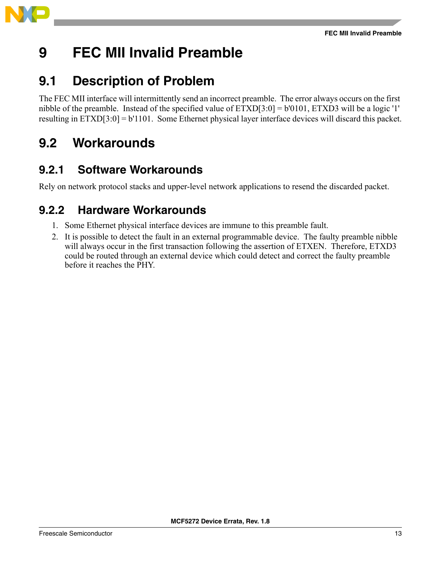

## **9 FEC MII Invalid Preamble**

#### **9.1 Description of Problem**

The FEC MII interface will intermittently send an incorrect preamble. The error always occurs on the first nibble of the preamble. Instead of the specified value of ETXD[3:0] = b'0101, ETXD3 will be a logic '1' resulting in ETXD[3:0] = b'1101. Some Ethernet physical layer interface devices will discard this packet.

#### **9.2 Workarounds**

#### **9.2.1 Software Workarounds**

Rely on network protocol stacks and upper-level network applications to resend the discarded packet.

#### **9.2.2 Hardware Workarounds**

- 1. Some Ethernet physical interface devices are immune to this preamble fault.
- 2. It is possible to detect the fault in an external programmable device. The faulty preamble nibble will always occur in the first transaction following the assertion of ETXEN. Therefore, ETXD3 could be routed through an external device which could detect and correct the faulty preamble before it reaches the PHY.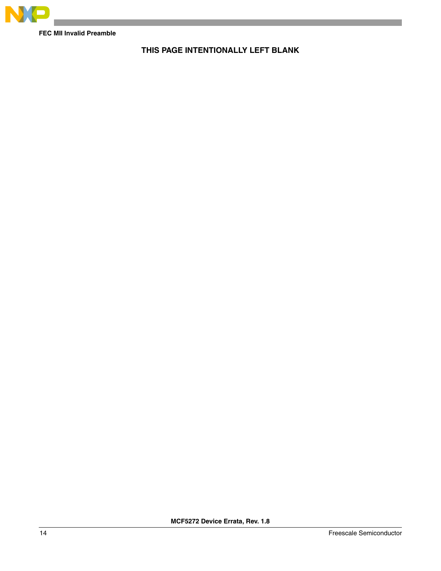

**FEC MII Invalid Preamble**

#### **THIS PAGE INTENTIONALLY LEFT BLANK**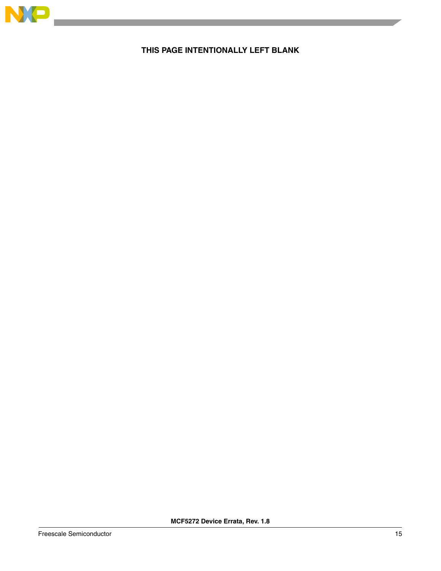

#### **THIS PAGE INTENTIONALLY LEFT BLANK**